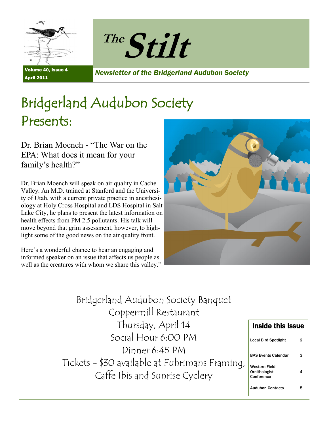



Volume 40, Issue 4 April 2011

*Newsletter of the Bridgerland Audubon Society*

# Bridgerland Audubon Society Presents:

Dr. Brian Moench - "The War on the EPA: What does it mean for your family's health?"

Dr. Brian Moench will speak on air quality in Cache Valley. An M.D. trained at Stanford and the University of Utah, with a current private practice in anesthesiology at Holy Cross Hospital and LDS Hospital in Salt Lake City, he plans to present the latest information on health effects from PM 2.5 pollutants. His talk will move beyond that grim assessment, however, to highlight some of the good news on the air quality front.

Here´s a wonderful chance to hear an engaging and informed speaker on an issue that affects us people as well as the creatures with whom we share this valley."



Bridgerland Audubon Society Banquet Coppermill Restaurant Thursday, April 14 Social Hour 6:00 PM Dinner 6:45 PM Tickets - \$30 available at Fuhrimans Framing, Caffe Ibis and Sunrise Cyclery

| <b>Inside this Issue</b>                     |    |
|----------------------------------------------|----|
| Local Bird Spotlight                         | 2  |
| <b>BAS Events Calendar</b>                   | з  |
| Western Field<br>Ornithologist<br>Conference | 4  |
| Audubon Contacts                             | г, |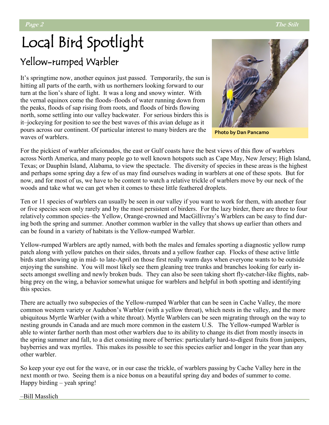# Local Bird Spotlight Yellow-rumped Warbler

It's springtime now, another equinox just passed. Temporarily, the sun is hitting all parts of the earth, with us northerners looking forward to our turn at the lion's share of light. It was a long and snowy winter. With the vernal equinox come the floods–floods of water running down from the peaks, floods of sap rising from roots, and floods of birds flowing north, some settling into our valley backwater. For serious birders this is it–jockeying for position to see the best waves of this avian deluge as it pours across our continent. Of particular interest to many birders are the waves of warblers.



**Photo by Dan Pancamo**

For the pickiest of warbler aficionados, the east or Gulf coasts have the best views of this flow of warblers across North America, and many people go to well known hotspots such as Cape May, New Jersey; High Island, Texas; or Dauphin Island, Alabama, to view the spectacle. The diversity of species in these areas is the highest and perhaps some spring day a few of us may find ourselves wading in warblers at one of these spots. But for now, and for most of us, we have to be content to watch a relative trickle of warblers move by our neck of the woods and take what we can get when it comes to these little feathered droplets.

Ten or 11 species of warblers can usually be seen in our valley if you want to work for them, with another four or five species seen only rarely and by the most persistent of birders. For the lazy birder, there are three to four relatively common species–the Yellow, Orange-crowned and MacGillivray's Warblers can be easy to find during both the spring and summer. Another common warbler in the valley that shows up earlier than others and can be found in a variety of habitats is the Yellow-rumped Warbler.

Yellow-rumped Warblers are aptly named, with both the males and females sporting a diagnostic yellow rump patch along with yellow patches on their sides, throats and a yellow feather cap. Flocks of these active little birds start showing up in mid- to late-April on those first really warm days when everyone wants to be outside enjoying the sunshine. You will most likely see them gleaning tree trunks and branches looking for early insects amongst swelling and newly broken buds. They can also be seen taking short fly-catcher-like flights, nabbing prey on the wing, a behavior somewhat unique for warblers and helpful in both spotting and identifying this species.

There are actually two subspecies of the Yellow-rumped Warbler that can be seen in Cache Valley, the more common western variety or Audubon's Warbler (with a yellow throat), which nests in the valley, and the more ubiquitous Myrtle Warbler (with a white throat). Myrtle Warblers can be seen migrating through on the way to nesting grounds in Canada and are much more common in the eastern U.S. The Yellow-rumped Warbler is able to winter farther north than most other warblers due to its ability to change its diet from mostly insects in the spring summer and fall, to a diet consisting more of berries: particularly hard-to-digest fruits from junipers, bayberries and wax myrtles. This makes its possible to see this species earlier and longer in the year than any other warbler.

So keep your eye out for the wave, or in our case the trickle, of warblers passing by Cache Valley here in the next month or two. Seeing them is a nice bonus on a beautiful spring day and bodes of summer to come. Happy birding – yeah spring!

–Bill Masslich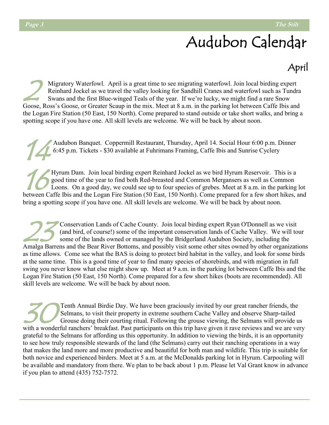# Audubon Calendar

## April

2 Migratory Waterfowl. April is a great time to see migrating waterfowl. Join local birding expert Reinhard Jockel as we travel the valley looking for Sandhill Cranes and waterfowl such as Tundra Swans and the first Blue-winged Teals of the year. If we're lucky, we might find a rare Snow Goose, Ross's Goose, or Greater Scaup in the mix. Meet at 8 a.m. in the parking lot between Caffe Ibis and the Logan Fire Station (50 East, 150 North). Come prepared to stand outside or take short walks, and bring a spotting scope if you have one. All skill levels are welcome. We will be back by about noon.

14 Audubon Banquet. Coppermill Restaurant, Thursday, April 14. Social Hour 6:00 p.m. Dinner 6:45 p.m. Tickets - \$30 available at Fuhrimans Framing, Caffe Ibis and Sunrise Cyclery

 $\mathcal{H}$ Hyrum Dam. Join local birding expert Reinhard Jockel as we bird Hyrum Reservoir. This is a good time of the year to find both Red-breasted and Common Mergansers as well as Common Loons. On a good day, we could see up to four species of grebes. Meet at 8 a.m. in the parking lot between Caffe Ibis and the Logan Fire Station (50 East, 150 North). Come prepared for a few short hikes, and bring a spotting scope if you have one. All skill levels are welcome. We will be back by about noon.

23 Conservation Lands of Cache County. Join local birding expert Ryan O'Donnell as we visit (and bird, of course!) some of the important conservation lands of Cache Valley. We will tour some of the lands owned or managed by the Bridgerland Audubon Society, including the Amalga Barrens and the Bear River Bottoms, and possibly visit some other sites owned by other organizations as time allows. Come see what the BAS is doing to protect bird habitat in the valley, and look for some birds at the same time. This is a good time of year to find many species of shorebirds, and with migration in full swing you never know what else might show up. Meet at 9 a.m. in the parking lot between Caffe Ibis and the Logan Fire Station (50 East, 150 North). Come prepared for a few short hikes (boots are recommended). All skill levels are welcome. We will be back by about noon.

30 Tenth Annual Birdie Day. We have been graciously invited by our great rancher friends, the Selmans, to visit their property in extreme southern Cache Valley and observe Sharp-tailed Grouse doing their courting ritual. Following the grouse viewing, the Selmans will provide us with a wonderful ranchers' breakfast. Past participants on this trip have given it rave reviews and we are very grateful to the Selmans for affording us this opportunity. In addition to viewing the birds, it is an opportunity to see how truly responsible stewards of the land (the Selmans) carry out their ranching operations in a way that makes the land more and more productive and beautiful for both man and wildlife. This trip is suitable for both novice and experienced birders. Meet at 5 a.m. at the McDonalds parking lot in Hyrum. Carpooling will be available and mandatory from there. We plan to be back about 1 p.m. Please let Val Grant know in advance if you plan to attend [\(435\) 752](tel:%28435%29%20752-7572)-7572.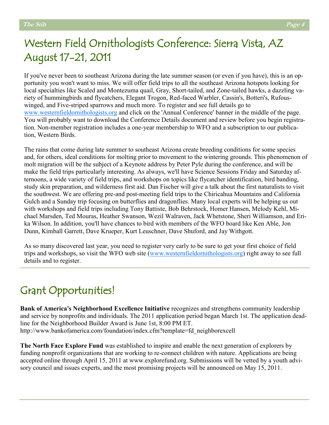## Western Field Ornithologists Conference: Sierra Vista, AZ August 17-21, 2011

If you've never been to southeast Arizona during the late summer season (or even if you have), this is an opportunity you won't want to miss. We will offer field trips to all the southeast Arizona hotspots looking for local specialties like Scaled and Montezuma quail, Gray, Short-tailed, and Zone-tailed hawks, a dazzling variety of hummingbirds and flycatchers, Elegant Trogon, Red-faced Warbler, Cassin's, Botteri's, Rufouswinged, and Five-striped sparrows and much more. To register and see full details go to [www.westernfieldornithologists.org](http://www.westernfieldornithologists.org) and click on the 'Annual Conference' banner in the middle of the page. You will probably want to download the Conference Details document and review before you begin registration. Non-member registration includes a one-year membership to WFO and a subscription to our publication, Western Birds.

The rains that come during late summer to southeast Arizona create breeding conditions for some species and, for others, ideal conditions for molting prior to movement to the wintering grounds. This phenomenon of molt migration will be the subject of a Keynote address by Peter Pyle during the conference, and will be make the field trips particularly interesting. As always, we'll have Science Sessions Friday and Saturday afternoons, a wide variety of field trips, and workshops on topics like flycatcher identification, bird banding, study skin preparation, and wilderness first aid. Dan Fischer will give a talk about the first naturalists to visit the southwest. We are offering pre-and post-meeting field trips to the Chiricahua Mountains and California Gulch and a Sunday trip focusing on butterflies and dragonflies. Many local experts will be helping us out with workshops and field trips including Tony Battiste, Bob Behrstock, Homer Hansen, Melody Kehl, Michael Marsden, Ted Mouras, Heather Swanson, Wezil Walraven, Jack Whetstone, Sheri Williamson, and Erika Wilson. In addition, you'll have chances to bird with members of the WFO board like Ken Able, Jon Dunn, Kimball Garrett, Dave Krueper, Kurt Leuschner, Dave Shuford, and Jay Withgott.

As so many discovered last year, you need to register very early to be sure to get your first choice of field trips and workshops, so visit the WFO web site ([www.westernfieldornithologists.org\)](http://www.westernfieldornithologists.org) right away to see full details and to register.

## Grant Opportunities!

**Bank of America's Neighborhood Excellence Initiative** recognizes and strengthens community leadership and service by nonprofits and individuals. The 2011 application period began March 1st. The application deadline for the Neighborhood Builder Award is June 1st, 8:00 PM ET. http://www.bankofamerica.com/foundation/index.cfm?template=fd\_neighborexcell

**The North Face Explore Fund** was established to inspire and enable the next generation of explorers by funding nonprofit organizations that are working to re-connect children with nature. Applications are being accepted online through April 15, 2011 at www.explorefund.org. Submissions will be vetted by a youth advisory council and issues experts, and the most promising projects will be announced on May 15, 2011.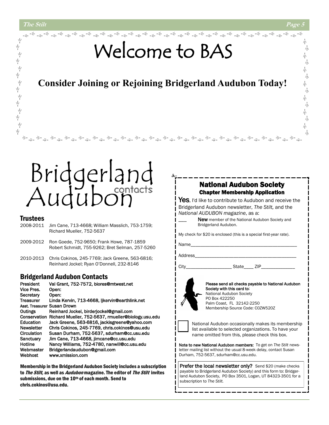ψİ

一平

 $\frac{1}{2}$ 

一平

ホネイホ

.<br>Y

小

小 六

朩  $\frac{1}{\sqrt{N}}$ 

小 六

小 六

六

六

# Welcome to BAS

### **Consider Joining or Rejoining Bridgerland Audubon Today!**

# Bridgerland<br>Audubon

#### **Trustees**

- 2008-2011 Jim Cane, 713-4668; William Masslich, 753-1759; Richard Mueller, 752-5637
- 2009-2012 Ron Goede, 752-9650; Frank Howe, 787-1859 Robert Schmidt, 755-9262; Bret Selman, 257-5260
- 2010-2013 Chris Cokinos, 245-7769; Jack Greene, 563-6816; Reinhard Jockel; Ryan O'Donnell, 232-8146

#### Bridgerland Audubon Contacts

| President                   | Val Grant, 752-7572, biores@mtwest.net              |
|-----------------------------|-----------------------------------------------------|
| Vice Pres.                  | Open:                                               |
| Secretary                   | Open:                                               |
| <b>Treasurer</b>            | Linda Kervin, 713-4668, Ijkervin@earthlink.net      |
| Asst. Treasurer Susan Drown |                                                     |
| Outings                     | Reinhard Jockel, birderjockel@gmail.com             |
| Conservation                | Richard Mueller, 752-5637, rmueller@biology.usu.edu |
| Education                   | Jack Greene, 563-6816, jackisgreene@yahoo.com       |
| Newsletter                  | Chris Cokinos, 245-7769, chris.cokinos@usu.edu      |
| Circulation                 | Susan Durham, 752-5637, sdurham@cc.usu.edu          |
| Sanctuary                   | Jim Cane, 713-4668, jimcane@cc.usu.edu              |
| Hotline                     | Nancy Williams, 752-4780, nanwill@cc.usu.edu        |
| Webmaster                   | Bridgerlandaudubon@gmail.com                        |
| Webhost                     | www.xmission.com                                    |

Membership in the Bridgerland Audubon Society includes a subscription to *The Stilt*, as well as *Audubon* magazine. The editor of *The Stilt* invites submissions, due on the 10<sup>th</sup> of each month. Send to chris.cokinos@usu.edu.

#### National Audubon Society Chapter Membership Application

Yes, I'd like to contribute to Audubon and receive the Bridgerland Audubon newsletter, *The Stilt,* and the *National AUDUBON magazine*, as a:

> New member of the National Audubon Society and Bridgerland Audubon.

My check for \$20 is enclosed (this is a special first-year rate).

Name\_

Address

City\_\_\_\_\_\_\_\_\_\_\_\_\_\_\_\_\_\_\_ State\_\_\_\_ ZIP\_\_\_\_\_\_\_\_\_\_\_\_\_\_



Please send all checks payable to National Audubon Society with this card to: National Audubon Society PO Box 422250 Palm Coast, FL 32142-2250 Membership Source Code: C0ZW520Z



National Audubon occasionally makes its membership list available to selected organizations. To have your name omitted from this, please check this box.

Note to new National Audubon members: To get on *The Stilt* newsletter mailing list without the usual 8-week delay, contact Susan Durham, 752-5637, sdurham@cc.usu.edu.

Prefer the local newsletter only? Send \$20 (make checks payable to Bridgerland Audubon Society) and this form to: Bridgerland Audubon Society, PO Box 3501, Logan, UT 84323-3501 for a subscription to *The Stilt.*